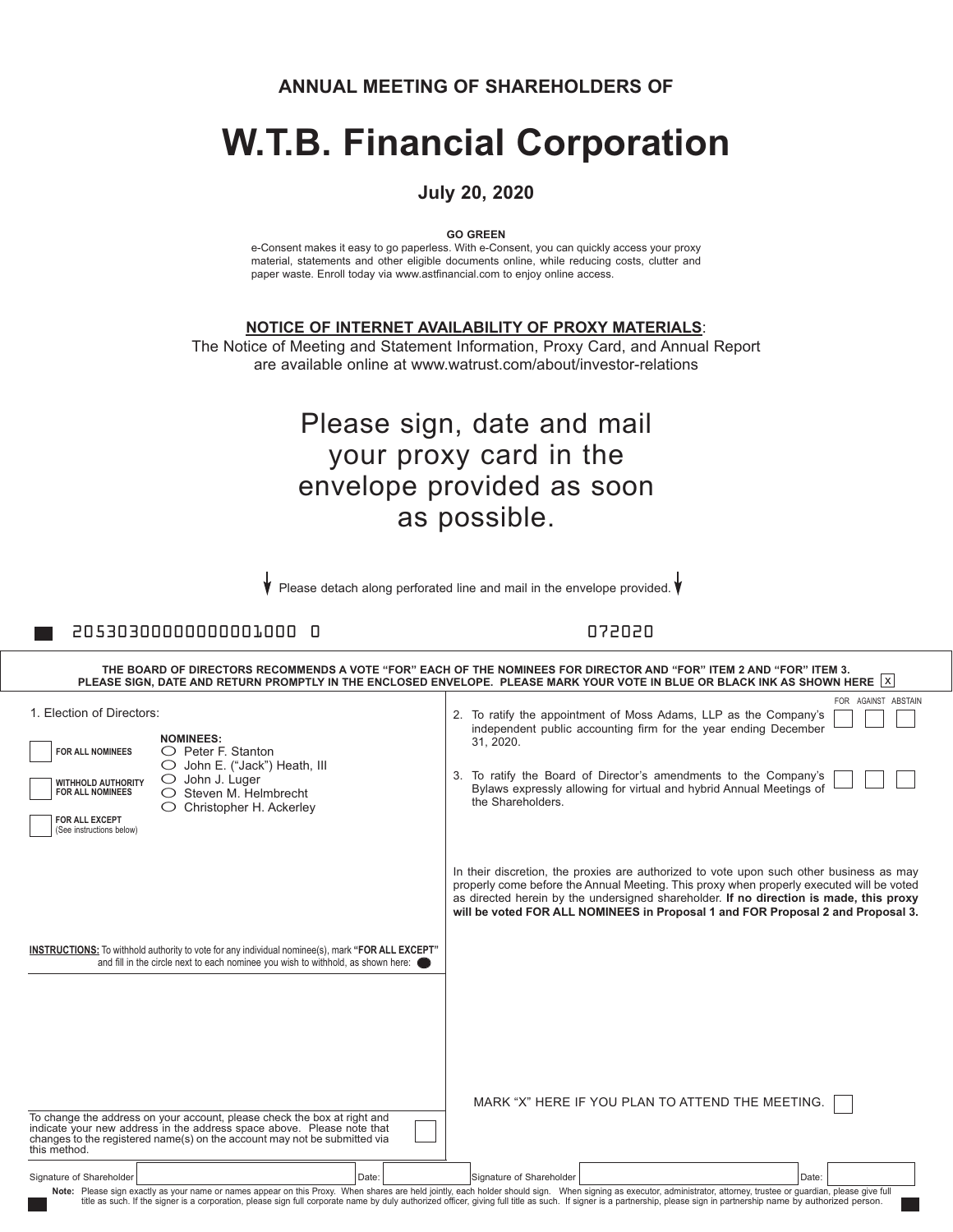**ANNUAL MEETING OF SHAREHOLDERS OF**

# **W.T.B. Financial Corporation**

#### **July 20, 2020**

**GO GREEN**

e-Consent makes it easy to go paperless. With e-Consent, you can quickly access your proxy material, statements and other eligible documents online, while reducing costs, clutter and paper waste. Enroll today via www.astfinancial.com to enjoy online access.

**NOTICE OF INTERNET AVAILABILITY OF PROXY MATERIALS**:

The Notice of Meeting and Statement Information, Proxy Card, and Annual Report are available online at www.watrust.com/about/investor-relations

## Please sign, date and mail your proxy card in the envelope provided as soon as possible.

Please detach along perforated line and mail in the envelope provided.

20530300000000001000 0 072020

| THE BOARD OF DIRECTORS RECOMMENDS A VOTE "FOR" EACH OF THE NOMINEES FOR DIRECTOR AND "FOR" ITEM 2 AND "FOR" ITEM 3.<br>PLEASE SIGN, DATE AND RETURN PROMPTLY IN THE ENCLOSED ENVELOPE. PLEASE MARK YOUR VOTE IN BLUE OR BLACK INK AS SHOWN HERE X |                                                                                                                                                                                                                                 |                                                                                                                                                                                                                                                                                                                                                                  |  |  |  |  |  |  |
|---------------------------------------------------------------------------------------------------------------------------------------------------------------------------------------------------------------------------------------------------|---------------------------------------------------------------------------------------------------------------------------------------------------------------------------------------------------------------------------------|------------------------------------------------------------------------------------------------------------------------------------------------------------------------------------------------------------------------------------------------------------------------------------------------------------------------------------------------------------------|--|--|--|--|--|--|
| 1. Election of Directors:<br>FOR ALL NOMINEES<br><b>WITHHOLD AUTHORITY</b><br><b>FOR ALL NOMINEES</b><br>FOR ALL EXCEPT<br>(See instructions below)                                                                                               | <b>NOMINEES:</b><br>$\bigcirc$ Peter F. Stanton<br>John E. ("Jack") Heath, III<br>$\bigcirc$ John J. Luger<br>$\bigcirc$ Steven M. Helmbrecht<br>Christopher H. Ackerley                                                        | FOR AGAINST ABSTAIN<br>2. To ratify the appointment of Moss Adams, LLP as the Company's<br>independent public accounting firm for the year ending December<br>31.2020.<br>3. To ratify the Board of Director's amendments to the Company's<br>Bylaws expressly allowing for virtual and hybrid Annual Meetings of<br>the Shareholders.                           |  |  |  |  |  |  |
|                                                                                                                                                                                                                                                   |                                                                                                                                                                                                                                 | In their discretion, the proxies are authorized to vote upon such other business as may<br>properly come before the Annual Meeting. This proxy when properly executed will be voted<br>as directed herein by the undersigned shareholder. If no direction is made, this proxy<br>will be voted FOR ALL NOMINEES in Proposal 1 and FOR Proposal 2 and Proposal 3. |  |  |  |  |  |  |
|                                                                                                                                                                                                                                                   | INSTRUCTIONS: To withhold authority to vote for any individual nominee(s), mark "FOR ALL EXCEPT"<br>and fill in the circle next to each nominee you wish to withhold, as shown here:                                            |                                                                                                                                                                                                                                                                                                                                                                  |  |  |  |  |  |  |
| this method.                                                                                                                                                                                                                                      | To change the address on your account, please check the box at right and<br>indicate your new address in the address space above. Please note that<br>changes to the registered name(s) on the account may not be submitted via | MARK "X" HERE IF YOU PLAN TO ATTEND THE MEETING.                                                                                                                                                                                                                                                                                                                 |  |  |  |  |  |  |
| Signature of Shareholder                                                                                                                                                                                                                          | Date:                                                                                                                                                                                                                           | Signature of Shareholder<br>Date:                                                                                                                                                                                                                                                                                                                                |  |  |  |  |  |  |
|                                                                                                                                                                                                                                                   |                                                                                                                                                                                                                                 | Note: Please sign exactly as your name or names appear on this Proxy. When shares are held jointly, each holder should sign. When signing as executor, administrator, attorney, trustee or guardian, please give full<br>title as                                                                                                                                |  |  |  |  |  |  |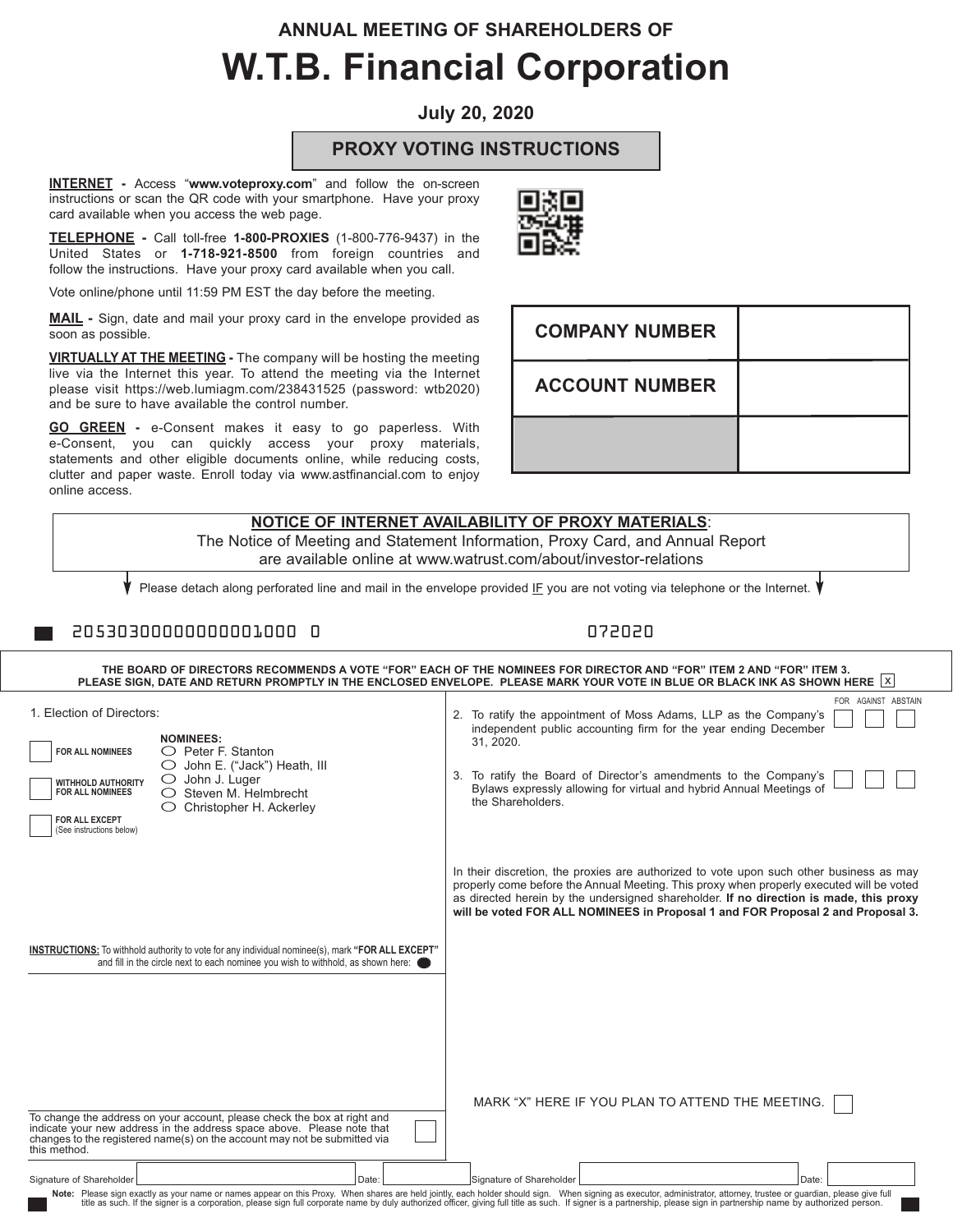# **ANNUAL MEETING OF SHAREHOLDERS OF W.T.B. Financial Corporation**

**July 20, 2020**

#### **PROXY VOTING INSTRUCTIONS**

**INTERNET -** Access "**www.voteproxy.com**" and follow the on-screen instructions or scan the QR code with your smartphone. Have your proxy card available when you access the web page.

**TELEPHONE -** Call toll-free **1-800-PROXIES** (1-800-776-9437) in the United States or **1-718-921-8500** from foreign countries and follow the instructions. Have your proxy card available when you call.

Vote online/phone until 11:59 PM EST the day before the meeting.

**MAIL -** Sign, date and mail your proxy card in the envelope provided as soon as possible.

**VIRTUALLY AT THE MEETING -** The company will be hosting the meeting live via the Internet this year. To attend the meeting via the Internet please visit https://web.lumiagm.com/238431525 (password: wtb2020) and be sure to have available the control number.

**GO GREEN -** e-Consent makes it easy to go paperless. With e-Consent, you can quickly access your proxy materials, statements and other eligible documents online, while reducing costs, clutter and paper waste. Enroll today via www.astfinancial.com to enjoy online access.

To change the address on your account, please check the box at right and indicate your new address in the address space above. Please note that changes to the registered name(s) on the account may not be submitted via this method.

| <b>NOTICE OF INTERNET AVAILABILITY OF PROXY MATERIALS:</b><br>The Notice of Meeting and Statement Information, Proxy Card, and Annual Report<br>are available online at www.watrust.com/about/investor-relations                                                                                                                                             |                                                                                                                                                                                                                                                                                                                                                                  |  |  |  |  |  |  |  |  |
|--------------------------------------------------------------------------------------------------------------------------------------------------------------------------------------------------------------------------------------------------------------------------------------------------------------------------------------------------------------|------------------------------------------------------------------------------------------------------------------------------------------------------------------------------------------------------------------------------------------------------------------------------------------------------------------------------------------------------------------|--|--|--|--|--|--|--|--|
| Please detach along perforated line and mail in the envelope provided IF you are not voting via telephone or the Internet.                                                                                                                                                                                                                                   |                                                                                                                                                                                                                                                                                                                                                                  |  |  |  |  |  |  |  |  |
| 20530300000000001000 0                                                                                                                                                                                                                                                                                                                                       | 072020                                                                                                                                                                                                                                                                                                                                                           |  |  |  |  |  |  |  |  |
|                                                                                                                                                                                                                                                                                                                                                              | THE BOARD OF DIRECTORS RECOMMENDS A VOTE "FOR" EACH OF THE NOMINEES FOR DIRECTOR AND "FOR" ITEM 2 AND "FOR" ITEM 3.<br>PLEASE SIGN, DATE AND RETURN PROMPTLY IN THE ENCLOSED ENVELOPE. PLEASE MARK YOUR VOTE IN BLUE OR BLACK INK AS SHOWN HERE $\lfloor x \rfloor$                                                                                              |  |  |  |  |  |  |  |  |
| 1. Election of Directors:<br><b>NOMINEES:</b><br>$\bigcirc$ Peter F. Stanton<br><b>FOR ALL NOMINEES</b><br>$\bigcirc$ John E. ("Jack") Heath, III<br>$\bigcirc$ John J. Luger<br><b>WITHHOLD AUTHORITY</b><br><b>FOR ALL NOMINEES</b><br>$\bigcirc$ Steven M. Helmbrecht<br>$\bigcirc$ Christopher H. Ackerley<br>FOR ALL EXCEPT<br>(See instructions below) | FOR AGAINST ABSTAIN<br>2. To ratify the appointment of Moss Adams, LLP as the Company's<br>independent public accounting firm for the year ending December<br>31.2020.<br>3. To ratify the Board of Director's amendments to the Company's<br>Bylaws expressly allowing for virtual and hybrid Annual Meetings of<br>the Shareholders.                           |  |  |  |  |  |  |  |  |
|                                                                                                                                                                                                                                                                                                                                                              | In their discretion, the proxies are authorized to vote upon such other business as may<br>properly come before the Annual Meeting. This proxy when properly executed will be voted<br>as directed herein by the undersigned shareholder. If no direction is made, this proxy<br>will be voted FOR ALL NOMINEES in Proposal 1 and FOR Proposal 2 and Proposal 3. |  |  |  |  |  |  |  |  |
| INSTRUCTIONS: To withhold authority to vote for any individual nominee(s), mark "FOR ALL EXCEPT"<br>and fill in the circle next to each nominee you wish to withhold, as shown here: (                                                                                                                                                                       |                                                                                                                                                                                                                                                                                                                                                                  |  |  |  |  |  |  |  |  |

MARK "X" HERE IF YOU PLAN TO ATTEND THE MEETING. [





| Signature of Shareholder | Date:                                                                                                                                                                                                                                                                                                                                                                                                                                            | Signature of Shareholder | Date: |
|--------------------------|--------------------------------------------------------------------------------------------------------------------------------------------------------------------------------------------------------------------------------------------------------------------------------------------------------------------------------------------------------------------------------------------------------------------------------------------------|--------------------------|-------|
|                          | Note: Please sign exactly as your name or names appear on this Proxy. When shares are held jointly, each holder should sign. When signing as executor, administrator, attorney, trustee or quardian, please give full<br>title as such. If the signer is a corporation, please sign full corporate name by duly authorized officer, giving full title as such. If signer is a partnership, please sign in partnership name by authorized person. |                          |       |